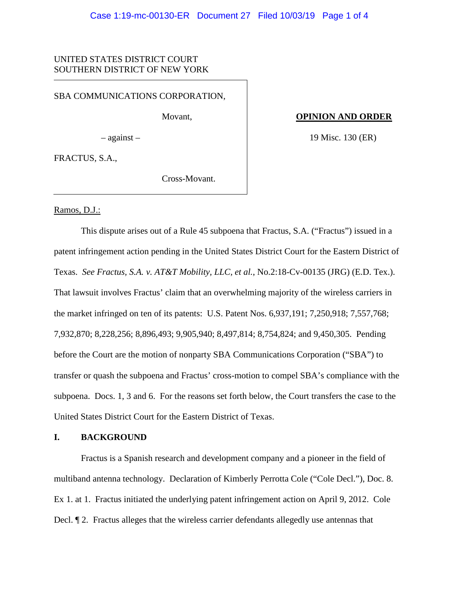# UNITED STATES DISTRICT COURT SOUTHERN DISTRICT OF NEW YORK

SBA COMMUNICATIONS CORPORATION,

Movant,

– against –

 **OPINION AND ORDER**

19 Misc. 130 (ER)

FRACTUS, S.A.,

Cross-Movant.

Ramos, D.J.:

This dispute arises out of a Rule 45 subpoena that Fractus, S.A. ("Fractus") issued in a patent infringement action pending in the United States District Court for the Eastern District of Texas. *See Fractus, S.A. v. AT&T Mobility, LLC, et al.*, No.2:18-Cv-00135 (JRG) (E.D. Tex.). That lawsuit involves Fractus' claim that an overwhelming majority of the wireless carriers in the market infringed on ten of its patents: U.S. Patent Nos. 6,937,191; 7,250,918; 7,557,768; 7,932,870; 8,228,256; 8,896,493; 9,905,940; 8,497,814; 8,754,824; and 9,450,305. Pending before the Court are the motion of nonparty SBA Communications Corporation ("SBA") to transfer or quash the subpoena and Fractus' cross-motion to compel SBA's compliance with the subpoena. Docs. 1, 3 and 6. For the reasons set forth below, the Court transfers the case to the United States District Court for the Eastern District of Texas.

## **I. BACKGROUND**

Fractus is a Spanish research and development company and a pioneer in the field of multiband antenna technology. Declaration of Kimberly Perrotta Cole ("Cole Decl."), Doc. 8. Ex 1. at 1. Fractus initiated the underlying patent infringement action on April 9, 2012. Cole Decl. ¶ 2. Fractus alleges that the wireless carrier defendants allegedly use antennas that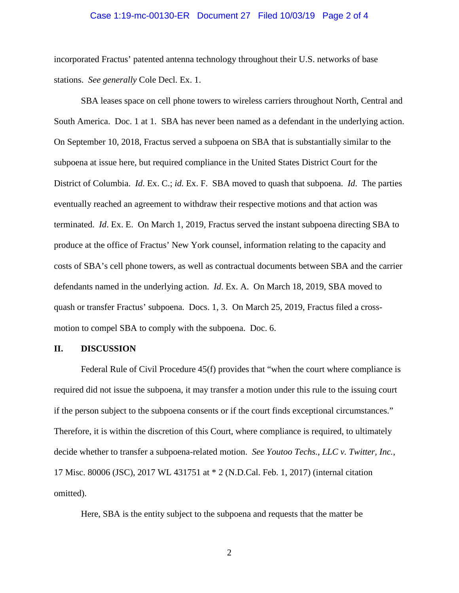#### Case 1:19-mc-00130-ER Document 27 Filed 10/03/19 Page 2 of 4

incorporated Fractus' patented antenna technology throughout their U.S. networks of base stations. *See generally* Cole Decl. Ex. 1.

SBA leases space on cell phone towers to wireless carriers throughout North, Central and South America. Doc. 1 at 1. SBA has never been named as a defendant in the underlying action. On September 10, 2018, Fractus served a subpoena on SBA that is substantially similar to the subpoena at issue here, but required compliance in the United States District Court for the District of Columbia. *Id*. Ex. C.; *id.* Ex. F. SBA moved to quash that subpoena. *Id*. The parties eventually reached an agreement to withdraw their respective motions and that action was terminated. *Id*. Ex. E. On March 1, 2019, Fractus served the instant subpoena directing SBA to produce at the office of Fractus' New York counsel, information relating to the capacity and costs of SBA's cell phone towers, as well as contractual documents between SBA and the carrier defendants named in the underlying action. *Id*. Ex. A. On March 18, 2019, SBA moved to quash or transfer Fractus' subpoena. Docs. 1, 3. On March 25, 2019, Fractus filed a crossmotion to compel SBA to comply with the subpoena. Doc. 6.

## **II. DISCUSSION**

Federal Rule of Civil Procedure 45(f) provides that "when the court where compliance is required did not issue the subpoena, it may transfer a motion under this rule to the issuing court if the person subject to the subpoena consents or if the court finds exceptional circumstances." Therefore, it is within the discretion of this Court, where compliance is required, to ultimately decide whether to transfer a subpoena-related motion. *See Youtoo Techs., LLC v. Twitter, Inc.*, 17 Misc. 80006 (JSC), 2017 WL 431751 at \* 2 (N.D.Cal. Feb. 1, 2017) (internal citation omitted).

Here, SBA is the entity subject to the subpoena and requests that the matter be

2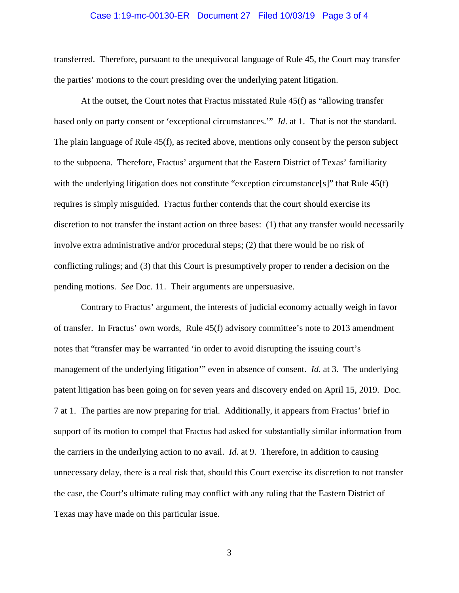## Case 1:19-mc-00130-ER Document 27 Filed 10/03/19 Page 3 of 4

transferred. Therefore, pursuant to the unequivocal language of Rule 45, the Court may transfer the parties' motions to the court presiding over the underlying patent litigation.

At the outset, the Court notes that Fractus misstated Rule 45(f) as "allowing transfer based only on party consent or 'exceptional circumstances.'" *Id*. at 1. That is not the standard. The plain language of Rule 45(f), as recited above, mentions only consent by the person subject to the subpoena. Therefore, Fractus' argument that the Eastern District of Texas' familiarity with the underlying litigation does not constitute "exception circumstance[s]" that Rule 45(f) requires is simply misguided. Fractus further contends that the court should exercise its discretion to not transfer the instant action on three bases: (1) that any transfer would necessarily involve extra administrative and/or procedural steps; (2) that there would be no risk of conflicting rulings; and (3) that this Court is presumptively proper to render a decision on the pending motions. *See* Doc. 11. Their arguments are unpersuasive.

Contrary to Fractus' argument, the interests of judicial economy actually weigh in favor of transfer. In Fractus' own words, Rule 45(f) advisory committee's note to 2013 amendment notes that "transfer may be warranted 'in order to avoid disrupting the issuing court's management of the underlying litigation'" even in absence of consent. *Id*. at 3. The underlying patent litigation has been going on for seven years and discovery ended on April 15, 2019. Doc. 7 at 1. The parties are now preparing for trial. Additionally, it appears from Fractus' brief in support of its motion to compel that Fractus had asked for substantially similar information from the carriers in the underlying action to no avail. *Id*. at 9. Therefore, in addition to causing unnecessary delay, there is a real risk that, should this Court exercise its discretion to not transfer the case, the Court's ultimate ruling may conflict with any ruling that the Eastern District of Texas may have made on this particular issue.

3